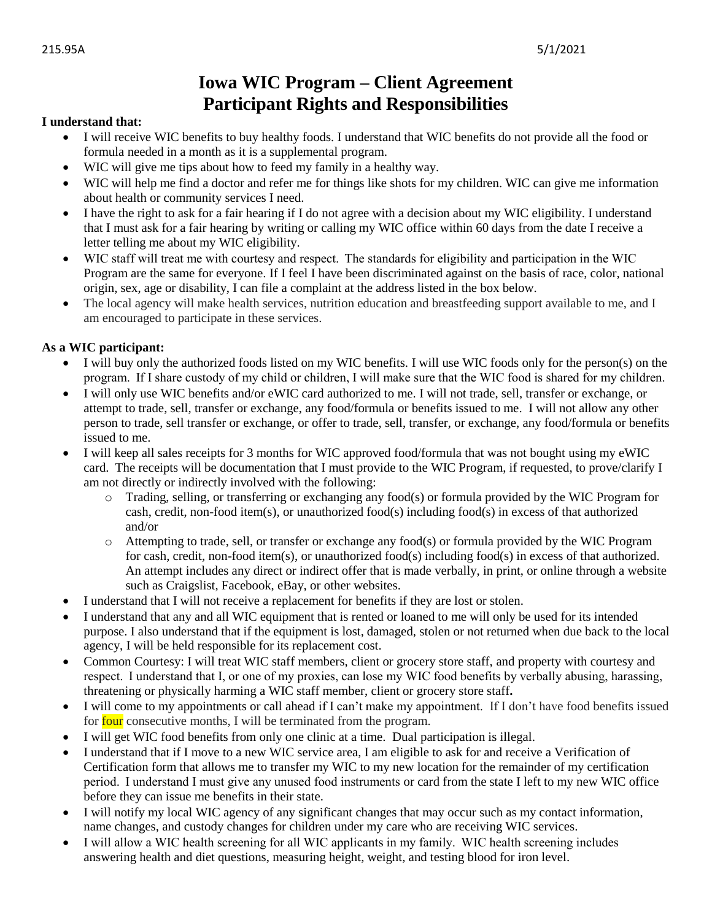## **Iowa WIC Program – Client Agreement Participant Rights and Responsibilities**

## **I understand that:**

- I will receive WIC benefits to buy healthy foods. I understand that WIC benefits do not provide all the food or formula needed in a month as it is a supplemental program.
- WIC will give me tips about how to feed my family in a healthy way.
- WIC will help me find a doctor and refer me for things like shots for my children. WIC can give me information about health or community services I need.
- I have the right to ask for a fair hearing if I do not agree with a decision about my WIC eligibility. I understand that I must ask for a fair hearing by writing or calling my WIC office within 60 days from the date I receive a letter telling me about my WIC eligibility.
- WIC staff will treat me with courtesy and respect.  The standards for eligibility and participation in the WIC Program are the same for everyone. If I feel I have been discriminated against on the basis of race, color, national origin, sex, age or disability, I can file a complaint at the address listed in the box below.
- The local agency will make health services, nutrition education and breastfeeding support available to me, and I am encouraged to participate in these services.

## **As a WIC participant:**

- I will buy only the authorized foods listed on my WIC benefits. I will use WIC foods only for the person(s) on the program.  If I share custody of my child or children, I will make sure that the WIC food is shared for my children.
- I will only use WIC benefits and/or eWIC card authorized to me. I will not trade, sell, transfer or exchange, or attempt to trade, sell, transfer or exchange, any food/formula or benefits issued to me. I will not allow any other person to trade, sell transfer or exchange, or offer to trade, sell, transfer, or exchange, any food/formula or benefits issued to me.
- I will keep all sales receipts for 3 months for WIC approved food/formula that was not bought using my eWIC card. The receipts will be documentation that I must provide to the WIC Program, if requested, to prove/clarify I am not directly or indirectly involved with the following:
	- o Trading, selling, or transferring or exchanging any food(s) or formula provided by the WIC Program for cash, credit, non-food item(s), or unauthorized food(s) including food(s) in excess of that authorized and/or
	- o Attempting to trade, sell, or transfer or exchange any food(s) or formula provided by the WIC Program for cash, credit, non-food item(s), or unauthorized food(s) including food(s) in excess of that authorized. An attempt includes any direct or indirect offer that is made verbally, in print, or online through a website such as Craigslist, Facebook, eBay, or other websites.
- I understand that I will not receive a replacement for benefits if they are lost or stolen.
- I understand that any and all WIC equipment that is rented or loaned to me will only be used for its intended purpose. I also understand that if the equipment is lost, damaged, stolen or not returned when due back to the local agency, I will be held responsible for its replacement cost.
- Common Courtesy: I will treat WIC staff members, client or grocery store staff, and property with courtesy and respect.  I understand that I, or one of my proxies, can lose my WIC food benefits by verbally abusing, harassing, threatening or physically harming a WIC staff member, client or grocery store staff**.**
- I will come to my appointments or call ahead if I can't make my appointment. If I don't have food benefits issued for four consecutive months, I will be terminated from the program.
- I will get WIC food benefits from only one clinic at a time. Dual participation is illegal.
- I understand that if I move to a new WIC service area, I am eligible to ask for and receive a Verification of Certification form that allows me to transfer my WIC to my new location for the remainder of my certification period.  I understand I must give any unused food instruments or card from the state I left to my new WIC office before they can issue me benefits in their state.
- I will notify my local WIC agency of any significant changes that may occur such as my contact information, name changes, and custody changes for children under my care who are receiving WIC services.
- I will allow a WIC health screening for all WIC applicants in my family.  WIC health screening includes answering health and diet questions, measuring height, weight, and testing blood for iron level.